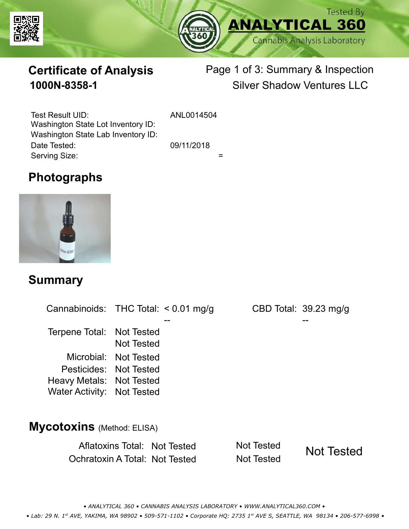



# **Certificate of Analysis**

# Page 1 of 3: Summary & Inspection **1000N-8358-1** Silver Shadow Ventures LLC

Serving Size:  $=$ Test Result UID: ANL0014504 Date Tested: 09/11/2018 Washington State Lot Inventory ID: Washington State Lab Inventory ID:

# **Photographs**



#### **Summary**

Cannabinoids: THC Total:  $< 0.01$  mg/g Terpene Total: Not Tested Microbial: Not Tested CBD Total: 39.23 mg/g Pesticides: Not Tested Heavy Metals: Not Tested -- -- Not Tested Water Activity: Not Tested

#### **Mycotoxins** (Method: ELISA)

Aflatoxins Total: Not Tested Not Tested Ochratoxin A Total: Not Tested Not Tested



*• ANALYTICAL 360 • CANNABIS ANALYSIS LABORATORY • WWW.ANALYTICAL360.COM • • Lab: 29 N. 1st AVE, YAKIMA, WA 98902 • 509-571-1102 • Corporate HQ: 2735 1st AVE S, SEATTLE, WA 98134 • 206-577-6998 •*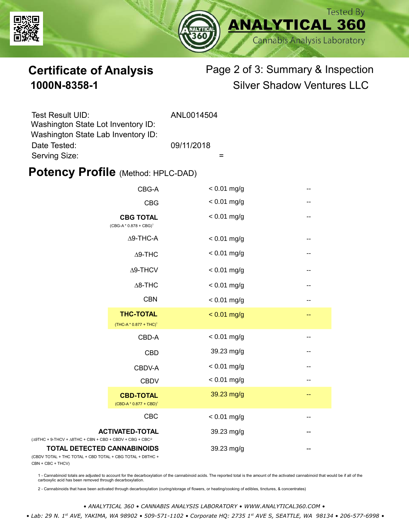



# **Certificate of Analysis** Page 2 of 3: Summary & Inspection **1000N-8358-1** Silver Shadow Ventures LLC

| Test Result UID:                                                         | ANL0014504 |
|--------------------------------------------------------------------------|------------|
| Washington State Lot Inventory ID:<br>Washington State Lab Inventory ID: |            |
| Date Tested:                                                             | 09/11/2018 |
| Serving Size:                                                            |            |

### **Potency Profile (Method: HPLC-DAD)**

|                                                                                            | CBG-A                                                  | $< 0.01$ mg/g | --                       |
|--------------------------------------------------------------------------------------------|--------------------------------------------------------|---------------|--------------------------|
|                                                                                            | <b>CBG</b>                                             | $< 0.01$ mg/g | --                       |
| <b>CBG TOTAL</b><br>(CBG-A*0.878 + CBG) <sup>1</sup><br>$\Delta$ 9-THC-A<br>$\Delta$ 9-THC |                                                        | $< 0.01$ mg/g | --                       |
|                                                                                            |                                                        | $< 0.01$ mg/g | $\qquad \qquad -$        |
|                                                                                            |                                                        | $< 0.01$ mg/g | $\qquad \qquad -$        |
| $\Delta$ 9-THCV<br>$\Delta$ 8-THC                                                          | $< 0.01$ mg/g                                          | --            |                          |
|                                                                                            |                                                        | $< 0.01$ mg/g | --                       |
|                                                                                            | <b>CBN</b>                                             | $< 0.01$ mg/g | --                       |
|                                                                                            | <b>THC-TOTAL</b><br>(THC-A * 0.877 + THC) <sup>1</sup> | $< 0.01$ mg/g | $-$                      |
|                                                                                            | CBD-A                                                  | $< 0.01$ mg/g | $\overline{\phantom{m}}$ |
|                                                                                            | <b>CBD</b>                                             | 39.23 mg/g    | --                       |
|                                                                                            | CBDV-A                                                 | $< 0.01$ mg/g | --                       |
|                                                                                            | <b>CBDV</b>                                            | $< 0.01$ mg/g |                          |
|                                                                                            | <b>CBD-TOTAL</b><br>$(CBD-A * 0.877 + CBD)^1$          | 39.23 mg/g    | --                       |
|                                                                                            | <b>CBC</b>                                             | $< 0.01$ mg/g |                          |
| + 9-THCV + $\triangle$ 8THC + CBN + CBD + CBDV + CBG + CBC <sup>22</sup>                   | <b>ACTIVATED-TOTAL</b>                                 | 39.23 mg/g    |                          |
| <b>TOTAL DETECTED CANNABINOIDS</b><br>TOTAL + THC TOTAL + CBD TOTAL + CBG TOTAL + D8THC +  |                                                        | 39.23 mg/g    |                          |

(CBDV TOTAL + THC TOTAL CBN + CBC + THCV)

(∆9THC + 9-THCV + ∆8THC

1 - Cannabinoid totals are adjusted to account for the decarboxylation of the cannabinoid acids. The reported total is the amount of the activated cannabinoid that would be if all of the<br>carboxylic acid has been removed th

2 - Cannabinoids that have been activated through decarboxylation (curing/storage of flowers, or heating/cooking of edibles, tinctures, & concentrates)

*• ANALYTICAL 360 • CANNABIS ANALYSIS LABORATORY • WWW.ANALYTICAL360.COM •*

 *• Lab: 29 N. 1st AVE, YAKIMA, WA 98902 • 509-571-1102 • Corporate HQ: 2735 1st AVE S, SEATTLE, WA 98134 • 206-577-6998 •*